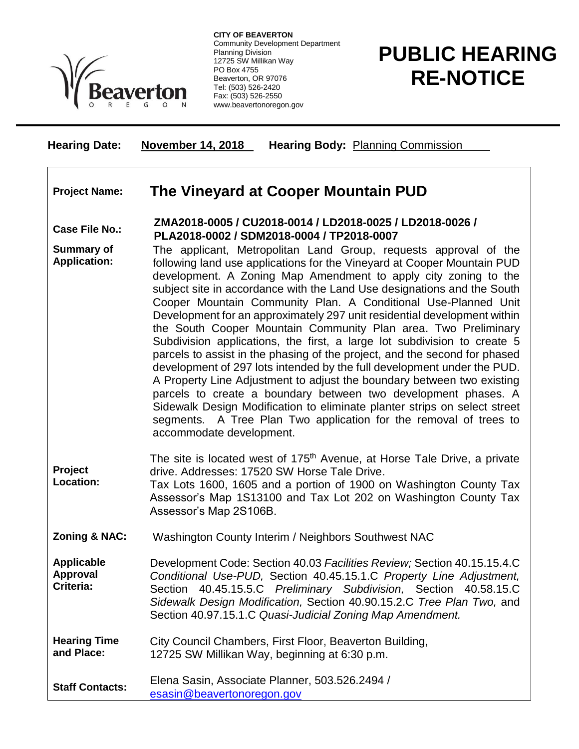

**CITY OF BEAVERTON** Community Development Department Planning Division 12725 SW Millikan Way PO Box 4755 Beaverton, OR 97076 Tel: (503) 526-2420 Fax: (503) 526-2550 www.beavertonoregon.gov

## **PUBLIC HEARING RE-NOTICE**

| <b>Hearing Date:</b>                       | <b>November 14, 2018</b><br><b>Hearing Body: Planning Commission</b>                                                                                                                                                                                                                                                                                                                                                                                                                                                                                                                                                                                                                                                                                                                                                                                                                                                                                                                                                                                                     |
|--------------------------------------------|--------------------------------------------------------------------------------------------------------------------------------------------------------------------------------------------------------------------------------------------------------------------------------------------------------------------------------------------------------------------------------------------------------------------------------------------------------------------------------------------------------------------------------------------------------------------------------------------------------------------------------------------------------------------------------------------------------------------------------------------------------------------------------------------------------------------------------------------------------------------------------------------------------------------------------------------------------------------------------------------------------------------------------------------------------------------------|
| <b>Project Name:</b>                       | The Vineyard at Cooper Mountain PUD                                                                                                                                                                                                                                                                                                                                                                                                                                                                                                                                                                                                                                                                                                                                                                                                                                                                                                                                                                                                                                      |
| <b>Case File No.:</b>                      | ZMA2018-0005 / CU2018-0014 / LD2018-0025 / LD2018-0026 /<br>PLA2018-0002 / SDM2018-0004 / TP2018-0007                                                                                                                                                                                                                                                                                                                                                                                                                                                                                                                                                                                                                                                                                                                                                                                                                                                                                                                                                                    |
| <b>Summary of</b><br><b>Application:</b>   | The applicant, Metropolitan Land Group, requests approval of the<br>following land use applications for the Vineyard at Cooper Mountain PUD<br>development. A Zoning Map Amendment to apply city zoning to the<br>subject site in accordance with the Land Use designations and the South<br>Cooper Mountain Community Plan. A Conditional Use-Planned Unit<br>Development for an approximately 297 unit residential development within<br>the South Cooper Mountain Community Plan area. Two Preliminary<br>Subdivision applications, the first, a large lot subdivision to create 5<br>parcels to assist in the phasing of the project, and the second for phased<br>development of 297 lots intended by the full development under the PUD.<br>A Property Line Adjustment to adjust the boundary between two existing<br>parcels to create a boundary between two development phases. A<br>Sidewalk Design Modification to eliminate planter strips on select street<br>segments. A Tree Plan Two application for the removal of trees to<br>accommodate development. |
| Project<br>Location:                       | The site is located west of 175 <sup>th</sup> Avenue, at Horse Tale Drive, a private<br>drive. Addresses: 17520 SW Horse Tale Drive.<br>Tax Lots 1600, 1605 and a portion of 1900 on Washington County Tax<br>Assessor's Map 1S13100 and Tax Lot 202 on Washington County Tax<br>Assessor's Map 2S106B.                                                                                                                                                                                                                                                                                                                                                                                                                                                                                                                                                                                                                                                                                                                                                                  |
| <b>Zoning &amp; NAC:</b>                   | Washington County Interim / Neighbors Southwest NAC                                                                                                                                                                                                                                                                                                                                                                                                                                                                                                                                                                                                                                                                                                                                                                                                                                                                                                                                                                                                                      |
| <b>Applicable</b><br>Approval<br>Criteria: | Development Code: Section 40.03 Facilities Review; Section 40.15.15.4.C<br>Conditional Use-PUD, Section 40.45.15.1.C Property Line Adjustment,<br>40.45.15.5.C Preliminary Subdivision, Section 40.58.15.C<br>Section<br>Sidewalk Design Modification, Section 40.90.15.2.C Tree Plan Two, and<br>Section 40.97.15.1.C Quasi-Judicial Zoning Map Amendment.                                                                                                                                                                                                                                                                                                                                                                                                                                                                                                                                                                                                                                                                                                              |
| <b>Hearing Time</b><br>and Place:          | City Council Chambers, First Floor, Beaverton Building,<br>12725 SW Millikan Way, beginning at 6:30 p.m.                                                                                                                                                                                                                                                                                                                                                                                                                                                                                                                                                                                                                                                                                                                                                                                                                                                                                                                                                                 |
|                                            |                                                                                                                                                                                                                                                                                                                                                                                                                                                                                                                                                                                                                                                                                                                                                                                                                                                                                                                                                                                                                                                                          |

**Staff Contacts:** Elena Sasin, Associate Planner, 503.526.2494 / [esasin@beavertonoregon.gov](mailto:esasin@beavertonoregon.gov)